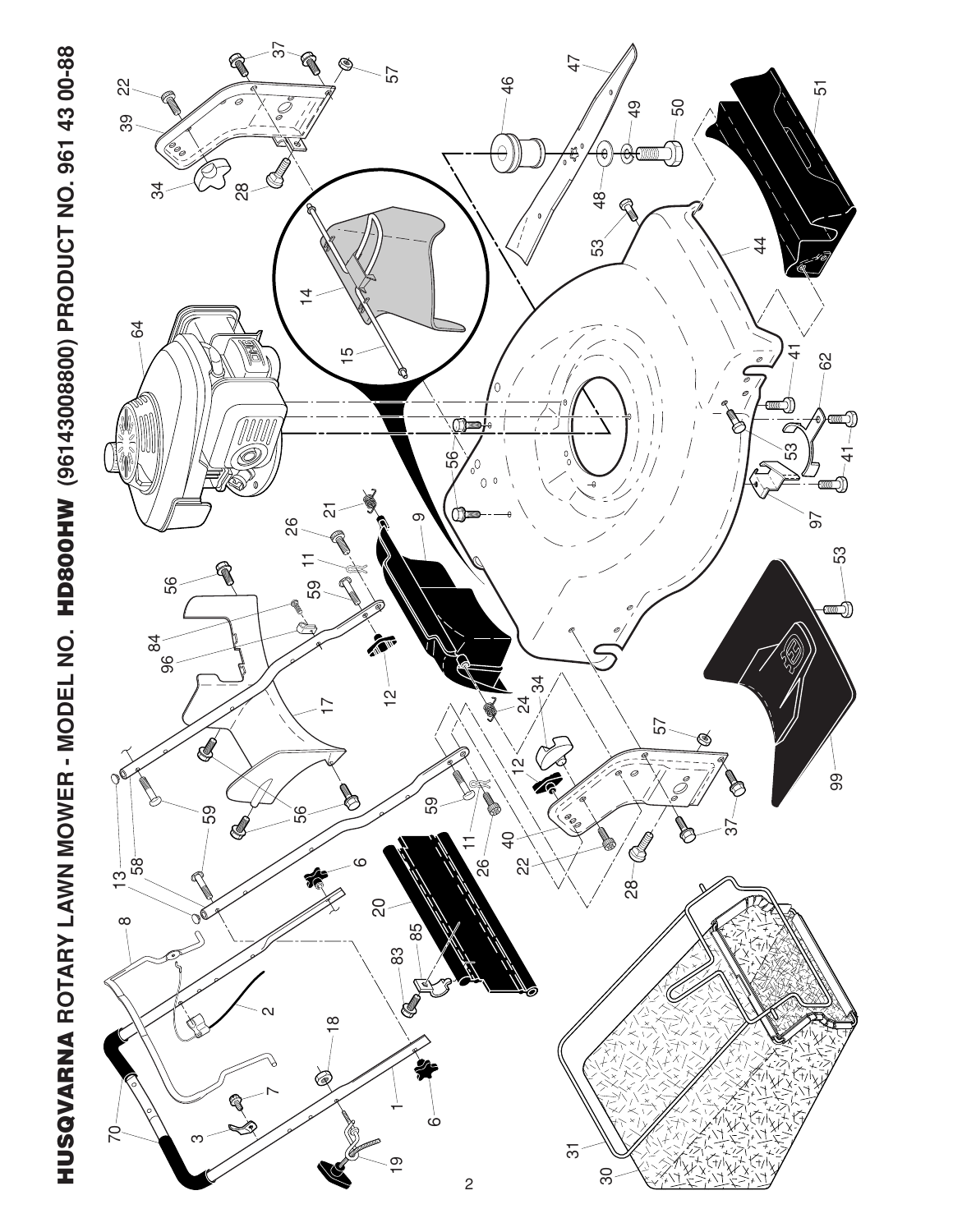HUSQVARNA ROTARY LAWN MOWER - MODEL NO. HD800HW (96143008800) PRODUCT NO. 961 43 00-88 **ROTARY LAWN MOWER - MODEL NO. HD800HW (96143008800) PRODUCT NO. 961 43 00-88 HUSQVARNA** 

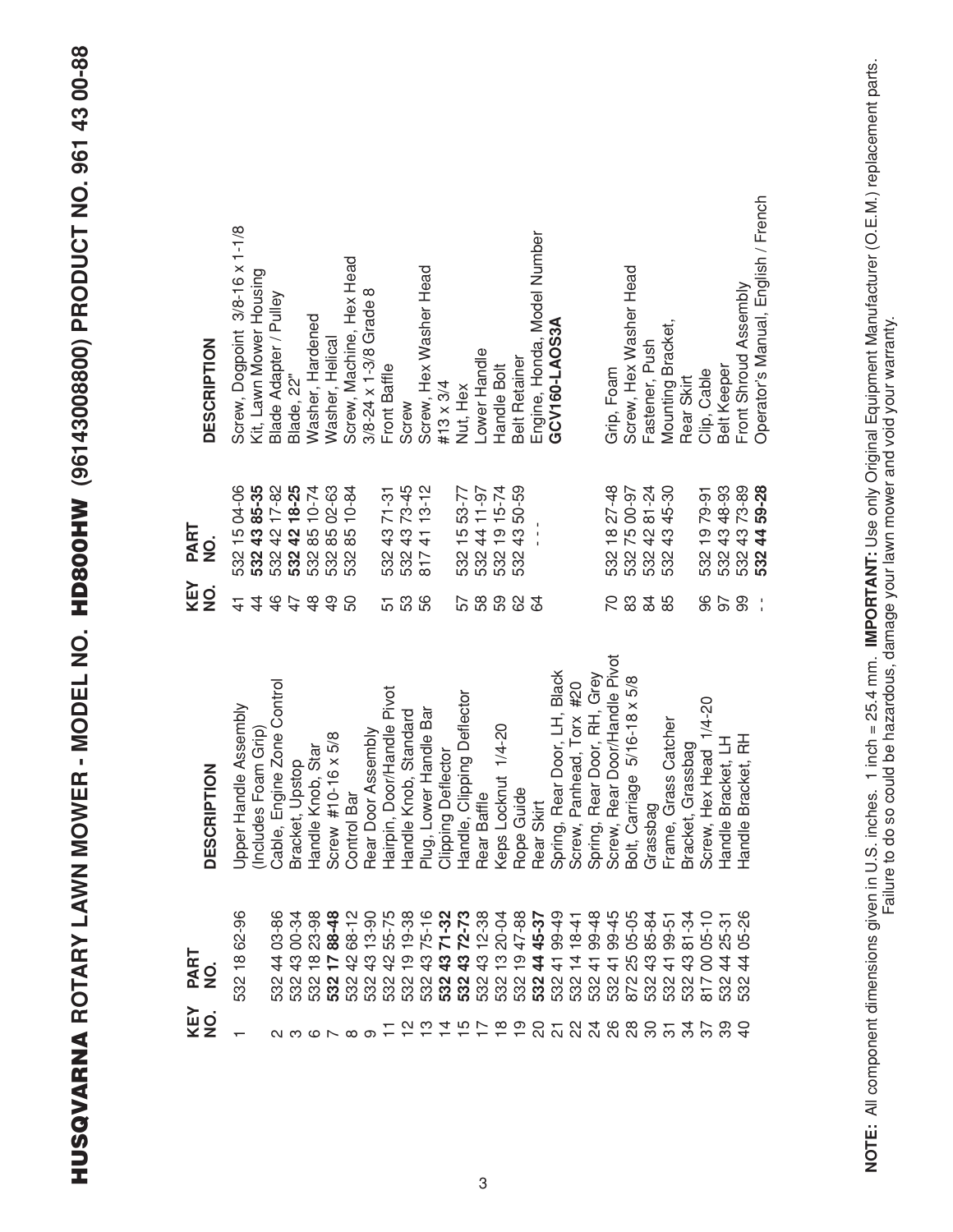HUSQVARNA ROTARY LAWN MOWER - MODEL NO. HD800HW (96143008800) PRODUCT NO. 961 43 00-88 **ROTARY LAWN MOWER - MODEL NO. HD800HW (96143008800) PRODUCT NO. 961 43 00-88 HUSQVARNA** 

| <b>DESCRIPTION</b>                 | Screw, Dogpoint 3/8-16 x 1-1/8<br>Kit, Lawn Mower Housing    | Blade Adapter / Pulley     | Blade, 22"      | Washer, Hardened                   | Washer, Helical               | Screw, Machine, Hex Head           | $3/8 - 24 \times 1 - 3/8$ Grade 8 | Front Baffle               | Screw                        | Screw, Hex Washer Head            | #13 $\times$ 3/4          | Nut, Hex                                     | Lower Handle        | Handle Bolt         | <b>Belt Retainer</b> | Engine, Honda, Model Number | GCV160-LAOS3A                     |                                   |                                                 | Grip, Foam        | Screw, Hex Washer Head                    | Fastener, Push               | Mounting Bracket,    | Rear Skirt                    | Clip, Cable               | <b>Belt Keeper</b>                   | Front Shroud Assembly  | Operator's Manual, English / French |
|------------------------------------|--------------------------------------------------------------|----------------------------|-----------------|------------------------------------|-------------------------------|------------------------------------|-----------------------------------|----------------------------|------------------------------|-----------------------------------|---------------------------|----------------------------------------------|---------------------|---------------------|----------------------|-----------------------------|-----------------------------------|-----------------------------------|-------------------------------------------------|-------------------|-------------------------------------------|------------------------------|----------------------|-------------------------------|---------------------------|--------------------------------------|------------------------|-------------------------------------|
| PART<br>NO.                        | 532 15 04-06<br>532 43 85-35<br>532 42 17-82<br>532 42 18-25 |                            |                 | $.85$ 10-74<br>85 02-63<br>532     | 532                           | 85 10-84<br>532                    |                                   |                            | 532 43 71-31<br>532 43 73-45 | 8174113-12                        |                           | 532 15 53-77<br>532 44 11-97<br>532 19 15-74 |                     |                     | 4350-59<br>532       |                             |                                   |                                   |                                                 |                   | 532 18 27-48<br>532 75 00-97              | 532 42 81-24<br>532 43 45-30 |                      |                               | 532 19 79-91              | 532 43 48-93<br>532 43 73-89         |                        | 4459-28<br>532                      |
| KEY<br>$\frac{1}{2}$               | $\overline{4}$<br>$\frac{1}{4}$                              | $\frac{4}{6}$              | 47              | $\frac{8}{4}$                      | $\frac{9}{4}$                 | 50                                 |                                   | 51                         | 53                           | 56                                |                           | 57                                           | 58                  | 59                  | 89                   | 84                          |                                   |                                   |                                                 | 20                | 83                                        | 84                           | 85                   |                               | 96                        | 50                                   | 99                     |                                     |
| $\overline{6}$<br><b>DESCRIPTI</b> | le Assembly<br>(Includes Foam Grip)<br>Upper Hand            | Cable, Engine Zone Control | Bracket, Upstop | Handle Knob, Star                  | $16 \times 5/8$<br>Screw #10- | Control Bar                        | Rear Door Assembly                | Hairpin, Door/Handle Pivot | Handle Knob, Standard        | Handle Bar<br>Plug, Lower         | <b>Clipping Deflector</b> | Handle, Clipping Deflector                   | Rear Baffle         | Keps Locknut 1/4-20 | Rope Guide           | Rear Skirt                  | r Door, LH, Black<br>Spring, Rear | Screw, Panhead, Torx #20          | r Door, RH, Grey<br>Spring, Rear<br>Screw, Rear | Door/Handle Pivot | $e$ 5/16-18 $\times$ 5/8<br>Bolt, Carriag | Grassbag                     | Frame, Grass Catcher | Bracket, Grassbag             | Head 1/4-20<br>Screw, Hex | Handle Bracket, LH                   | Handle Bracket, RH     |                                     |
| <b>PART<br/>NO.</b><br>KEY<br>NO.  | 532 18 62-96                                                 | 03-86<br>$\frac{4}{4}$     | 4300-34<br>532. | 23-98<br>$\frac{\infty}{1}$<br>532 | 1788-48<br>532                | 68-12<br>532                       | $13 - 90$<br>444<br>532           | 55-75<br>532               | 19-38<br>တ<br>532            | $75 - 16$<br>$\frac{3}{4}$<br>532 | 532                       | 2 43 71-32<br>2 43 72-73<br>532              | $12 - 38$<br>532 43 | 20-04<br>13.<br>532 | 1947-88<br>532       | 532 44 45-37                | 4199-49<br>532                    | $18 - 41$<br>$\frac{4}{4}$<br>532 | 99-48<br>$\frac{4}{3}$<br>532                   | 99-45<br>532      | $05 - 05$<br>4 2 3<br>4 2 3<br>872        | 85-84<br>532                 | $99 - 51$<br>532     | 81-34<br>$\frac{3}{4}$<br>532 |                           | 25-31<br>$\frac{4}{4}$<br>532<br>532 | 05-26<br>$\frac{4}{4}$ |                                     |
|                                    | $\overline{\phantom{0}}$                                     |                            |                 |                                    |                               | $\alpha \circ \alpha \circ \alpha$ |                                   |                            |                              |                                   |                           |                                              |                     |                     | 2 1 2 4 5 6 6 6      |                             |                                   |                                   | 2524688                                         |                   |                                           |                              | $\overline{\Omega}$  |                               |                           |                                      |                        |                                     |

NOTE: All component dimensions given in U.S. inches. 1 inch = 25.4 mm. IMPORTANT: Use only Original Equipment Manufacturer (O.E.M.) replacement parts.<br>Failure to do so could be hazardous, damage your lawn mower and void yo **NOTE:** All component dimensions given in U.S. inches. 1 inch = 25.4 mm. **IMPORTANT:** Use only Original Equipment Manufacturer (O.E.M.) replacement parts. Failure to do so could be hazardous, damage your lawn mower and void your warranty.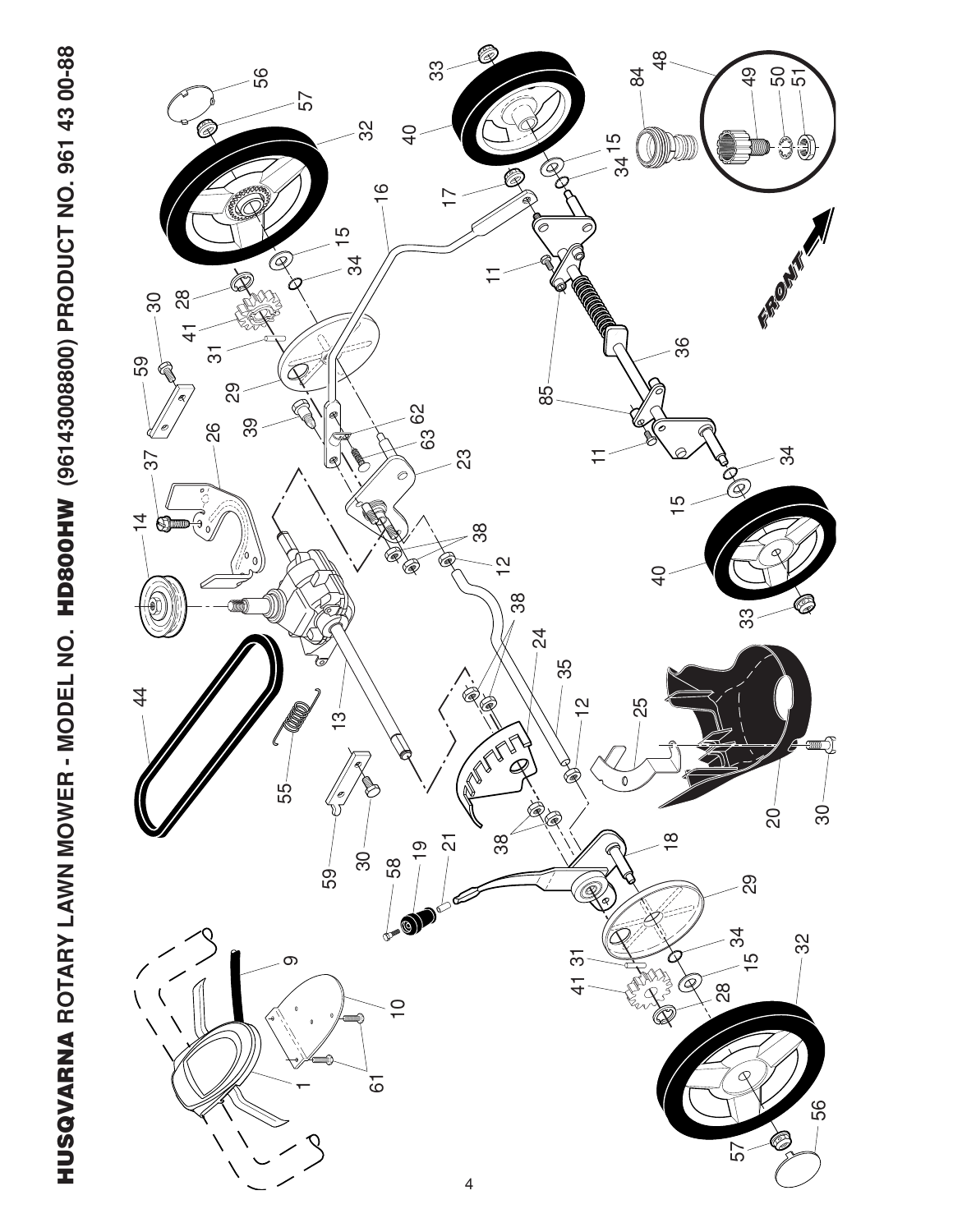

HUSQVARNA ROTARY LAWN MOWER - MODEL NO. HD800HW (96143008800) PRODUCT NO. 961 43 00-88 **ROTARY LAWN MOWER - MODEL NO. HD800HW (96143008800) PRODUCT NO. 961 43 00-88 HUSQVARNA**